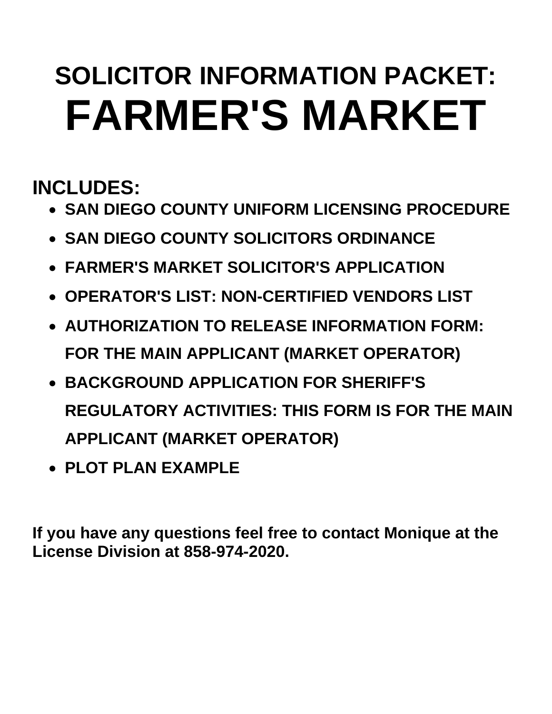# **SOLICITOR INFORMATION PACKET: FARMER'S MARKET**

**INCLUDES:** 

- **SAN DIEGO COUNTY UNIFORM LICENSING PROCEDURE**
- **SAN DIEGO COUNTY SOLICITORS ORDINANCE**
- **FARMER'S MARKET SOLICITOR'S APPLICATION**
- **OPERATOR'S LIST: NON-CERTIFIED VENDORS LIST**
- **AUTHORIZATION TO RELEASE INFORMATION FORM: FOR THE MAIN APPLICANT (MARKET OPERATOR)**
- **BACKGROUND APPLICATION FOR SHERIFF'S REGULATORY ACTIVITIES: THIS FORM IS FOR THE MAIN APPLICANT (MARKET OPERATOR)**
- **PLOT PLAN EXAMPLE**

**If you have any questions feel free to contact Monique at the License Division at 858-974-2020.**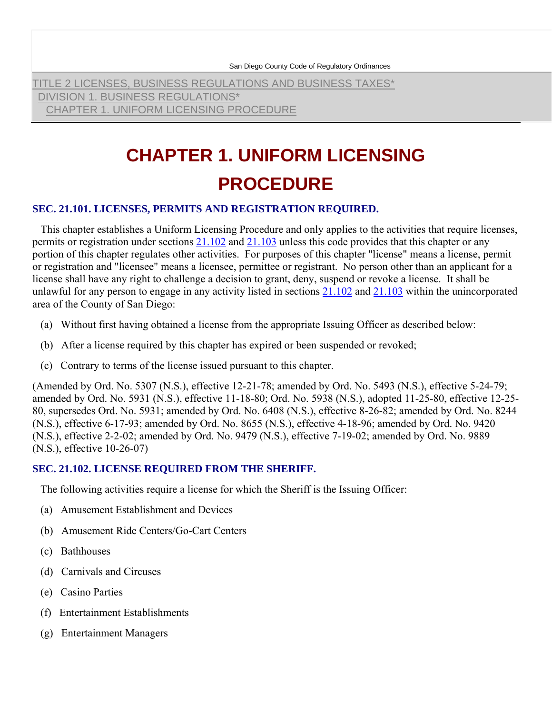San Diego County Code of Regulatory Ordinances

TITLE 2 LICENSES, BUSINESS REGULATIONS AND BUSINESS TAXES\* DIVISION 1. BUSINESS REGULATIONS\* CHAPTER 1. UNIFORM LICENSING PROCEDURE

# **CHAPTER 1. UNIFORM LICENSING PROCEDURE**

#### **SEC. 21.101. LICENSES, PERMITS AND REGISTRATION REQUIRED.**

 This chapter establishes a Uniform Licensing Procedure and only applies to the activities that require licenses, permits or registration under sections 21.102 and 21.103 unless this code provides that this chapter or any portion of this chapter regulates other activities. For purposes of this chapter "license" means a license, permit or registration and "licensee" means a licensee, permittee or registrant. No person other than an applicant for a license shall have any right to challenge a decision to grant, deny, suspend or revoke a license. It shall be unlawful for any person to engage in any activity listed in sections 21.102 and 21.103 within the unincorporated area of the County of San Diego:

- (a) Without first having obtained a license from the appropriate Issuing Officer as described below:
- (b) After a license required by this chapter has expired or been suspended or revoked;
- (c) Contrary to terms of the license issued pursuant to this chapter.

(Amended by Ord. No. 5307 (N.S.), effective 12-21-78; amended by Ord. No. 5493 (N.S.), effective 5-24-79; amended by Ord. No. 5931 (N.S.), effective 11-18-80; Ord. No. 5938 (N.S.), adopted 11-25-80, effective 12-25- 80, supersedes Ord. No. 5931; amended by Ord. No. 6408 (N.S.), effective 8-26-82; amended by Ord. No. 8244 (N.S.), effective 6-17-93; amended by Ord. No. 8655 (N.S.), effective 4-18-96; amended by Ord. No. 9420 (N.S.), effective 2-2-02; amended by Ord. No. 9479 (N.S.), effective 7-19-02; amended by Ord. No. 9889 (N.S.), effective 10-26-07)

#### **SEC. 21.102. LICENSE REQUIRED FROM THE SHERIFF.**

The following activities require a license for which the Sheriff is the Issuing Officer:

- (a) Amusement Establishment and Devices
- (b) Amusement Ride Centers/Go-Cart Centers
- (c) Bathhouses
- (d) Carnivals and Circuses
- (e) Casino Parties
- (f) Entertainment Establishments
- (g) Entertainment Managers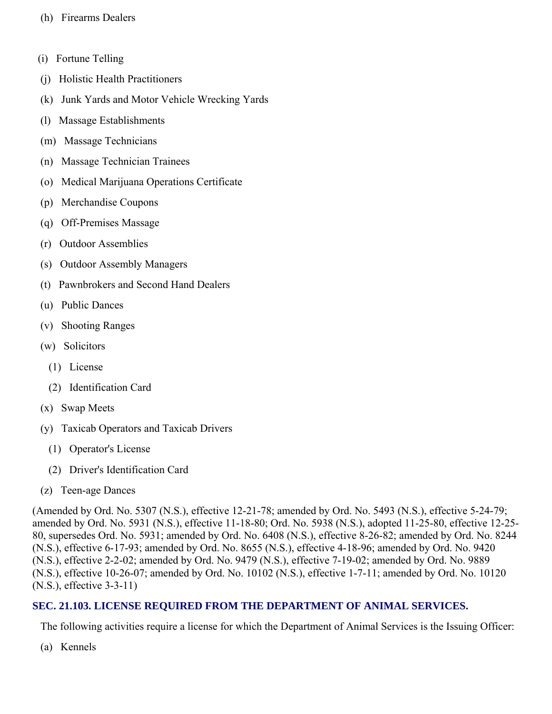- (h) Firearms Dealers
- (i) Fortune Telling
- (j) Holistic Health Practitioners
- (k) Junk Yards and Motor Vehicle Wrecking Yards
- (l) Massage Establishments
- (m) Massage Technicians
- (n) Massage Technician Trainees
- (o) Medical Marijuana Operations Certificate
- (p) Merchandise Coupons
- (q) Off-Premises Massage
- (r) Outdoor Assemblies
- (s) Outdoor Assembly Managers
- (t) Pawnbrokers and Second Hand Dealers
- (u) Public Dances
- (v) Shooting Ranges
- (w) Solicitors
	- (1) License
	- (2) Identification Card
- (x) Swap Meets
- (y) Taxicab Operators and Taxicab Drivers
	- (1) Operator's License
	- (2) Driver's Identification Card
- (z) Teen-age Dances

(Amended by Ord. No. 5307 (N.S.), effective 12-21-78; amended by Ord. No. 5493 (N.S.), effective 5-24-79; amended by Ord. No. 5931 (N.S.), effective 11-18-80; Ord. No. 5938 (N.S.), adopted 11-25-80, effective 12-25- 80, supersedes Ord. No. 5931; amended by Ord. No. 6408 (N.S.), effective 8-26-82; amended by Ord. No. 8244 (N.S.), effective 6-17-93; amended by Ord. No. 8655 (N.S.), effective 4-18-96; amended by Ord. No. 9420 (N.S.), effective 2-2-02; amended by Ord. No. 9479 (N.S.), effective 7-19-02; amended by Ord. No. 9889 (N.S.), effective 10-26-07; amended by Ord. No. 10102 (N.S.), effective 1-7-11; amended by Ord. No. 10120 (N.S.), effective 3-3-11)

#### **SEC. 21.103. LICENSE REQUIRED FROM THE DEPARTMENT OF ANIMAL SERVICES.**

The following activities require a license for which the Department of Animal Services is the Issuing Officer:

(a) Kennels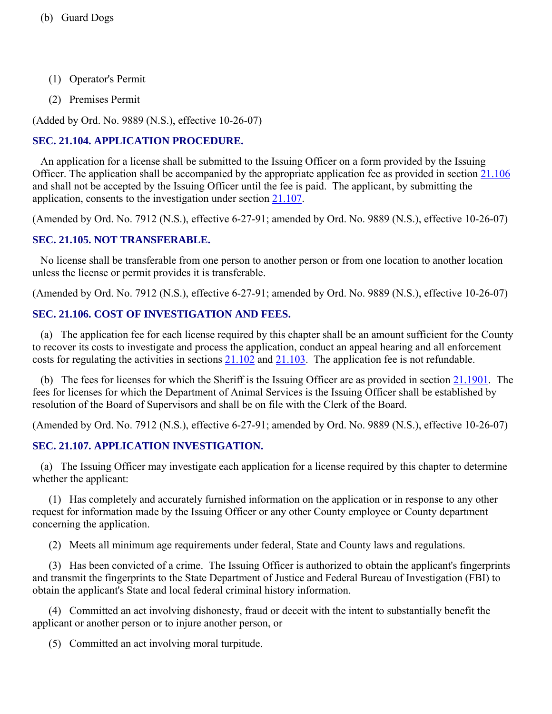- (1) Operator's Permit
- (2) Premises Permit

(Added by Ord. No. 9889 (N.S.), effective 10-26-07)

#### **SEC. 21.104. APPLICATION PROCEDURE.**

 An application for a license shall be submitted to the Issuing Officer on a form provided by the Issuing Officer. The application shall be accompanied by the appropriate application fee as provided in section 21.106 and shall not be accepted by the Issuing Officer until the fee is paid. The applicant, by submitting the application, consents to the investigation under section 21.107.

(Amended by Ord. No. 7912 (N.S.), effective 6-27-91; amended by Ord. No. 9889 (N.S.), effective 10-26-07)

#### **SEC. 21.105. NOT TRANSFERABLE.**

 No license shall be transferable from one person to another person or from one location to another location unless the license or permit provides it is transferable.

(Amended by Ord. No. 7912 (N.S.), effective 6-27-91; amended by Ord. No. 9889 (N.S.), effective 10-26-07)

#### **SEC. 21.106. COST OF INVESTIGATION AND FEES.**

 (a) The application fee for each license required by this chapter shall be an amount sufficient for the County to recover its costs to investigate and process the application, conduct an appeal hearing and all enforcement costs for regulating the activities in sections 21.102 and 21.103. The application fee is not refundable.

 (b) The fees for licenses for which the Sheriff is the Issuing Officer are as provided in section 21.1901. The fees for licenses for which the Department of Animal Services is the Issuing Officer shall be established by resolution of the Board of Supervisors and shall be on file with the Clerk of the Board.

(Amended by Ord. No. 7912 (N.S.), effective 6-27-91; amended by Ord. No. 9889 (N.S.), effective 10-26-07)

# **SEC. 21.107. APPLICATION INVESTIGATION.**

 (a) The Issuing Officer may investigate each application for a license required by this chapter to determine whether the applicant:

 (1) Has completely and accurately furnished information on the application or in response to any other request for information made by the Issuing Officer or any other County employee or County department concerning the application.

(2) Meets all minimum age requirements under federal, State and County laws and regulations.

 (3) Has been convicted of a crime. The Issuing Officer is authorized to obtain the applicant's fingerprints and transmit the fingerprints to the State Department of Justice and Federal Bureau of Investigation (FBI) to obtain the applicant's State and local federal criminal history information.

 (4) Committed an act involving dishonesty, fraud or deceit with the intent to substantially benefit the applicant or another person or to injure another person, or

(5) Committed an act involving moral turpitude.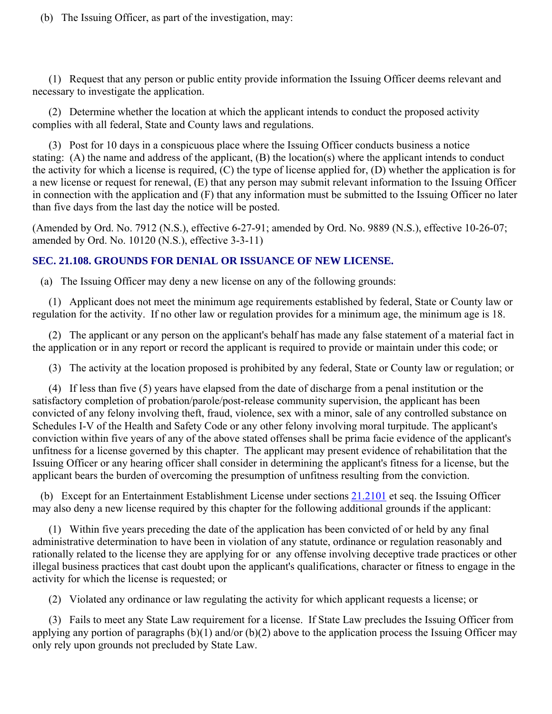(b) The Issuing Officer, as part of the investigation, may:

 (1) Request that any person or public entity provide information the Issuing Officer deems relevant and necessary to investigate the application.

 (2) Determine whether the location at which the applicant intends to conduct the proposed activity complies with all federal, State and County laws and regulations.

 (3) Post for 10 days in a conspicuous place where the Issuing Officer conducts business a notice stating: (A) the name and address of the applicant, (B) the location(s) where the applicant intends to conduct the activity for which a license is required, (C) the type of license applied for, (D) whether the application is for a new license or request for renewal, (E) that any person may submit relevant information to the Issuing Officer in connection with the application and (F) that any information must be submitted to the Issuing Officer no later than five days from the last day the notice will be posted.

(Amended by Ord. No. 7912 (N.S.), effective 6-27-91; amended by Ord. No. 9889 (N.S.), effective 10-26-07; amended by Ord. No. 10120 (N.S.), effective 3-3-11)

#### **SEC. 21.108. GROUNDS FOR DENIAL OR ISSUANCE OF NEW LICENSE.**

(a) The Issuing Officer may deny a new license on any of the following grounds:

 (1) Applicant does not meet the minimum age requirements established by federal, State or County law or regulation for the activity. If no other law or regulation provides for a minimum age, the minimum age is 18.

 (2) The applicant or any person on the applicant's behalf has made any false statement of a material fact in the application or in any report or record the applicant is required to provide or maintain under this code; or

(3) The activity at the location proposed is prohibited by any federal, State or County law or regulation; or

 (4) If less than five (5) years have elapsed from the date of discharge from a penal institution or the satisfactory completion of probation/parole/post-release community supervision, the applicant has been convicted of any felony involving theft, fraud, violence, sex with a minor, sale of any controlled substance on Schedules I-V of the Health and Safety Code or any other felony involving moral turpitude. The applicant's conviction within five years of any of the above stated offenses shall be prima facie evidence of the applicant's unfitness for a license governed by this chapter. The applicant may present evidence of rehabilitation that the Issuing Officer or any hearing officer shall consider in determining the applicant's fitness for a license, but the applicant bears the burden of overcoming the presumption of unfitness resulting from the conviction.

 (b) Except for an Entertainment Establishment License under sections 21.2101 et seq. the Issuing Officer may also deny a new license required by this chapter for the following additional grounds if the applicant:

 (1) Within five years preceding the date of the application has been convicted of or held by any final administrative determination to have been in violation of any statute, ordinance or regulation reasonably and rationally related to the license they are applying for or any offense involving deceptive trade practices or other illegal business practices that cast doubt upon the applicant's qualifications, character or fitness to engage in the activity for which the license is requested; or

(2) Violated any ordinance or law regulating the activity for which applicant requests a license; or

 (3) Fails to meet any State Law requirement for a license. If State Law precludes the Issuing Officer from applying any portion of paragraphs  $(b)(1)$  and/or  $(b)(2)$  above to the application process the Issuing Officer may only rely upon grounds not precluded by State Law.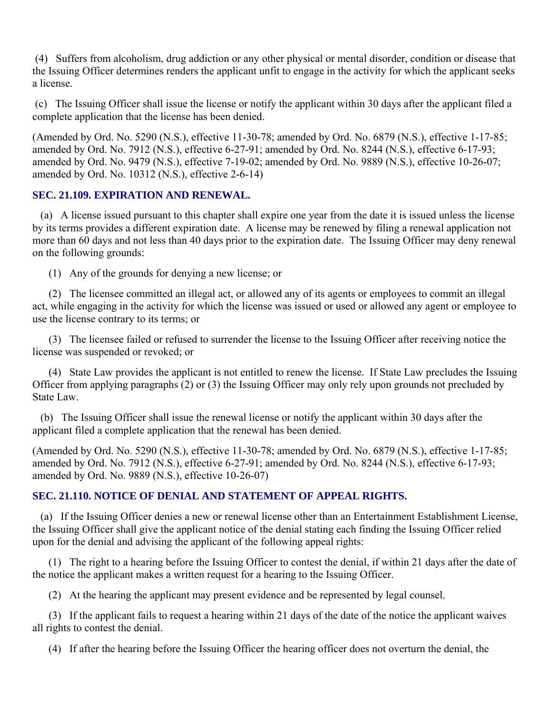(4) Suffers from alcoholism, drug addiction or any other physical or mental disorder, condition or disease that the Issuing Officer determines renders the applicant unfit to engage in the activity for which the applicant seeks a license.

 (c) The Issuing Officer shall issue the license or notify the applicant within 30 days after the applicant filed a complete application that the license has been denied.

(Amended by Ord. No. 5290 (N.S.), effective 11-30-78; amended by Ord. No. 6879 (N.S.), effective 1-17-85; amended by Ord. No. 7912 (N.S.), effective 6-27-91; amended by Ord. No. 8244 (N.S.), effective 6-17-93; amended by Ord. No. 9479 (N.S.), effective 7-19-02; amended by Ord. No. 9889 (N.S.), effective 10-26-07; amended by Ord. No. 10312 (N.S.), effective 2-6-14)

#### **SEC. 21.109. EXPIRATION AND RENEWAL.**

 (a) A license issued pursuant to this chapter shall expire one year from the date it is issued unless the license by its terms provides a different expiration date. A license may be renewed by filing a renewal application not more than 60 days and not less than 40 days prior to the expiration date. The Issuing Officer may deny renewal on the following grounds:

(1) Any of the grounds for denying a new license; or

 (2) The licensee committed an illegal act, or allowed any of its agents or employees to commit an illegal act, while engaging in the activity for which the license was issued or used or allowed any agent or employee to use the license contrary to its terms; or

 (3) The licensee failed or refused to surrender the license to the Issuing Officer after receiving notice the license was suspended or revoked; or

 (4) State Law provides the applicant is not entitled to renew the license. If State Law precludes the Issuing Officer from applying paragraphs (2) or (3) the Issuing Officer may only rely upon grounds not precluded by State Law.

 (b) The Issuing Officer shall issue the renewal license or notify the applicant within 30 days after the applicant filed a complete application that the renewal has been denied.

(Amended by Ord. No. 5290 (N.S.), effective 11-30-78; amended by Ord. No. 6879 (N.S.), effective 1-17-85; amended by Ord. No. 7912 (N.S.), effective 6-27-91; amended by Ord. No. 8244 (N.S.), effective 6-17-93; amended by Ord. No. 9889 (N.S.), effective 10-26-07)

#### **SEC. 21.110. NOTICE OF DENIAL AND STATEMENT OF APPEAL RIGHTS.**

 (a) If the Issuing Officer denies a new or renewal license other than an Entertainment Establishment License, the Issuing Officer shall give the applicant notice of the denial stating each finding the Issuing Officer relied upon for the denial and advising the applicant of the following appeal rights:

 (1) The right to a hearing before the Issuing Officer to contest the denial, if within 21 days after the date of the notice the applicant makes a written request for a hearing to the Issuing Officer.

(2) At the hearing the applicant may present evidence and be represented by legal counsel.

 (3) If the applicant fails to request a hearing within 21 days of the date of the notice the applicant waives all rights to contest the denial.

(4) If after the hearing before the Issuing Officer the hearing officer does not overturn the denial, the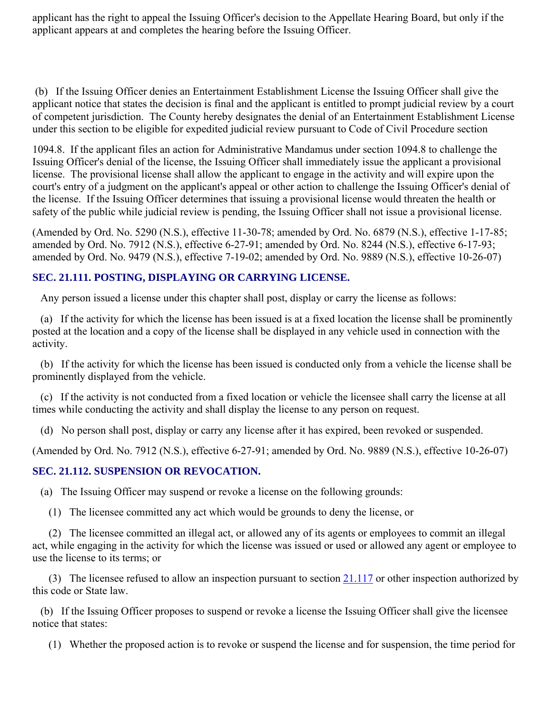applicant has the right to appeal the Issuing Officer's decision to the Appellate Hearing Board, but only if the applicant appears at and completes the hearing before the Issuing Officer.

 (b) If the Issuing Officer denies an Entertainment Establishment License the Issuing Officer shall give the applicant notice that states the decision is final and the applicant is entitled to prompt judicial review by a court of competent jurisdiction. The County hereby designates the denial of an Entertainment Establishment License under this section to be eligible for expedited judicial review pursuant to Code of Civil Procedure section

1094.8. If the applicant files an action for Administrative Mandamus under section 1094.8 to challenge the Issuing Officer's denial of the license, the Issuing Officer shall immediately issue the applicant a provisional license. The provisional license shall allow the applicant to engage in the activity and will expire upon the court's entry of a judgment on the applicant's appeal or other action to challenge the Issuing Officer's denial of the license. If the Issuing Officer determines that issuing a provisional license would threaten the health or safety of the public while judicial review is pending, the Issuing Officer shall not issue a provisional license.

(Amended by Ord. No. 5290 (N.S.), effective 11-30-78; amended by Ord. No. 6879 (N.S.), effective 1-17-85; amended by Ord. No. 7912 (N.S.), effective 6-27-91; amended by Ord. No. 8244 (N.S.), effective 6-17-93; amended by Ord. No. 9479 (N.S.), effective 7-19-02; amended by Ord. No. 9889 (N.S.), effective 10-26-07)

#### **SEC. 21.111. POSTING, DISPLAYING OR CARRYING LICENSE.**

Any person issued a license under this chapter shall post, display or carry the license as follows:

 (a) If the activity for which the license has been issued is at a fixed location the license shall be prominently posted at the location and a copy of the license shall be displayed in any vehicle used in connection with the activity.

 (b) If the activity for which the license has been issued is conducted only from a vehicle the license shall be prominently displayed from the vehicle.

 (c) If the activity is not conducted from a fixed location or vehicle the licensee shall carry the license at all times while conducting the activity and shall display the license to any person on request.

(d) No person shall post, display or carry any license after it has expired, been revoked or suspended.

(Amended by Ord. No. 7912 (N.S.), effective 6-27-91; amended by Ord. No. 9889 (N.S.), effective 10-26-07)

#### **SEC. 21.112. SUSPENSION OR REVOCATION.**

(a) The Issuing Officer may suspend or revoke a license on the following grounds:

(1) The licensee committed any act which would be grounds to deny the license, or

 (2) The licensee committed an illegal act, or allowed any of its agents or employees to commit an illegal act, while engaging in the activity for which the license was issued or used or allowed any agent or employee to use the license to its terms; or

(3) The licensee refused to allow an inspection pursuant to section  $21.117$  or other inspection authorized by this code or State law.

 (b) If the Issuing Officer proposes to suspend or revoke a license the Issuing Officer shall give the licensee notice that states:

(1) Whether the proposed action is to revoke or suspend the license and for suspension, the time period for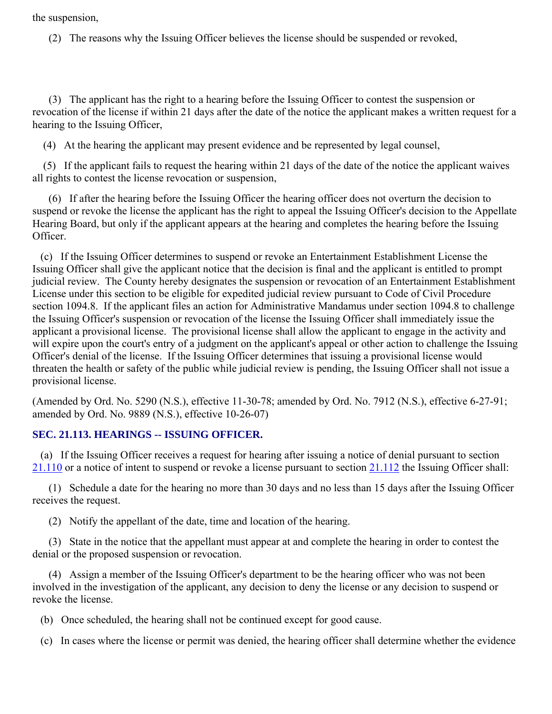the suspension,

(2) The reasons why the Issuing Officer believes the license should be suspended or revoked,

 (3) The applicant has the right to a hearing before the Issuing Officer to contest the suspension or revocation of the license if within 21 days after the date of the notice the applicant makes a written request for a hearing to the Issuing Officer,

(4) At the hearing the applicant may present evidence and be represented by legal counsel,

 (5) If the applicant fails to request the hearing within 21 days of the date of the notice the applicant waives all rights to contest the license revocation or suspension,

 (6) If after the hearing before the Issuing Officer the hearing officer does not overturn the decision to suspend or revoke the license the applicant has the right to appeal the Issuing Officer's decision to the Appellate Hearing Board, but only if the applicant appears at the hearing and completes the hearing before the Issuing Officer.

 (c) If the Issuing Officer determines to suspend or revoke an Entertainment Establishment License the Issuing Officer shall give the applicant notice that the decision is final and the applicant is entitled to prompt judicial review. The County hereby designates the suspension or revocation of an Entertainment Establishment License under this section to be eligible for expedited judicial review pursuant to Code of Civil Procedure section 1094.8. If the applicant files an action for Administrative Mandamus under section 1094.8 to challenge the Issuing Officer's suspension or revocation of the license the Issuing Officer shall immediately issue the applicant a provisional license. The provisional license shall allow the applicant to engage in the activity and will expire upon the court's entry of a judgment on the applicant's appeal or other action to challenge the Issuing Officer's denial of the license. If the Issuing Officer determines that issuing a provisional license would threaten the health or safety of the public while judicial review is pending, the Issuing Officer shall not issue a provisional license.

(Amended by Ord. No. 5290 (N.S.), effective 11-30-78; amended by Ord. No. 7912 (N.S.), effective 6-27-91; amended by Ord. No. 9889 (N.S.), effective 10-26-07)

#### **SEC. 21.113. HEARINGS -- ISSUING OFFICER.**

 (a) If the Issuing Officer receives a request for hearing after issuing a notice of denial pursuant to section 21.110 or a notice of intent to suspend or revoke a license pursuant to section 21.112 the Issuing Officer shall:

 (1) Schedule a date for the hearing no more than 30 days and no less than 15 days after the Issuing Officer receives the request.

(2) Notify the appellant of the date, time and location of the hearing.

 (3) State in the notice that the appellant must appear at and complete the hearing in order to contest the denial or the proposed suspension or revocation.

 (4) Assign a member of the Issuing Officer's department to be the hearing officer who was not been involved in the investigation of the applicant, any decision to deny the license or any decision to suspend or revoke the license.

(b) Once scheduled, the hearing shall not be continued except for good cause.

(c) In cases where the license or permit was denied, the hearing officer shall determine whether the evidence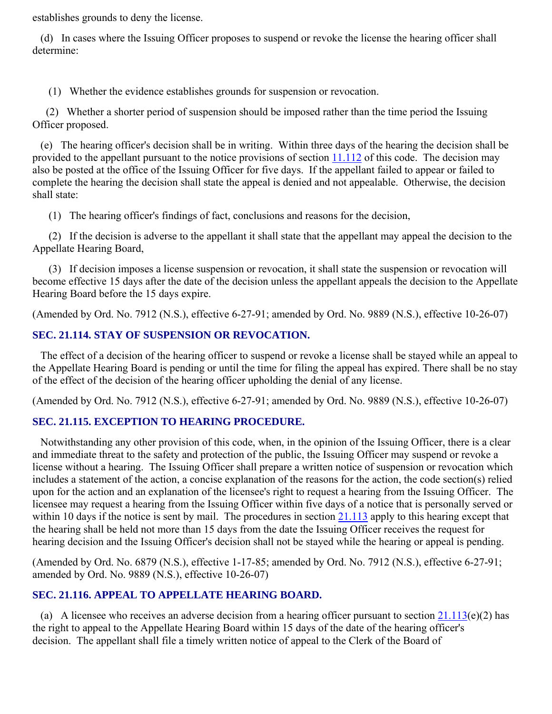establishes grounds to deny the license.

 (d) In cases where the Issuing Officer proposes to suspend or revoke the license the hearing officer shall determine:

(1) Whether the evidence establishes grounds for suspension or revocation.

 (2) Whether a shorter period of suspension should be imposed rather than the time period the Issuing Officer proposed.

 (e) The hearing officer's decision shall be in writing. Within three days of the hearing the decision shall be provided to the appellant pursuant to the notice provisions of section 11.112 of this code. The decision may also be posted at the office of the Issuing Officer for five days. If the appellant failed to appear or failed to complete the hearing the decision shall state the appeal is denied and not appealable. Otherwise, the decision shall state:

(1) The hearing officer's findings of fact, conclusions and reasons for the decision,

 (2) If the decision is adverse to the appellant it shall state that the appellant may appeal the decision to the Appellate Hearing Board,

 (3) If decision imposes a license suspension or revocation, it shall state the suspension or revocation will become effective 15 days after the date of the decision unless the appellant appeals the decision to the Appellate Hearing Board before the 15 days expire.

(Amended by Ord. No. 7912 (N.S.), effective 6-27-91; amended by Ord. No. 9889 (N.S.), effective 10-26-07)

#### **SEC. 21.114. STAY OF SUSPENSION OR REVOCATION.**

 The effect of a decision of the hearing officer to suspend or revoke a license shall be stayed while an appeal to the Appellate Hearing Board is pending or until the time for filing the appeal has expired. There shall be no stay of the effect of the decision of the hearing officer upholding the denial of any license.

(Amended by Ord. No. 7912 (N.S.), effective 6-27-91; amended by Ord. No. 9889 (N.S.), effective 10-26-07)

#### **SEC. 21.115. EXCEPTION TO HEARING PROCEDURE.**

 Notwithstanding any other provision of this code, when, in the opinion of the Issuing Officer, there is a clear and immediate threat to the safety and protection of the public, the Issuing Officer may suspend or revoke a license without a hearing. The Issuing Officer shall prepare a written notice of suspension or revocation which includes a statement of the action, a concise explanation of the reasons for the action, the code section(s) relied upon for the action and an explanation of the licensee's right to request a hearing from the Issuing Officer. The licensee may request a hearing from the Issuing Officer within five days of a notice that is personally served or within 10 days if the notice is sent by mail. The procedures in section 21.113 apply to this hearing except that the hearing shall be held not more than 15 days from the date the Issuing Officer receives the request for hearing decision and the Issuing Officer's decision shall not be stayed while the hearing or appeal is pending.

(Amended by Ord. No. 6879 (N.S.), effective 1-17-85; amended by Ord. No. 7912 (N.S.), effective 6-27-91; amended by Ord. No. 9889 (N.S.), effective 10-26-07)

#### **SEC. 21.116. APPEAL TO APPELLATE HEARING BOARD.**

(a) A licensee who receives an adverse decision from a hearing officer pursuant to section  $21.113(e)(2)$  has the right to appeal to the Appellate Hearing Board within 15 days of the date of the hearing officer's decision. The appellant shall file a timely written notice of appeal to the Clerk of the Board of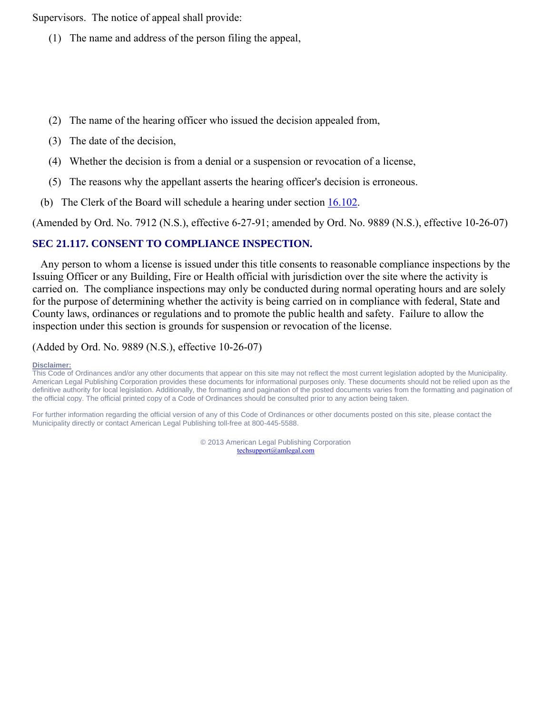Supervisors. The notice of appeal shall provide:

- (1) The name and address of the person filing the appeal,
- (2) The name of the hearing officer who issued the decision appealed from,
- (3) The date of the decision,
- (4) Whether the decision is from a denial or a suspension or revocation of a license,
- (5) The reasons why the appellant asserts the hearing officer's decision is erroneous.
- (b) The Clerk of the Board will schedule a hearing under section  $16.102$ .

(Amended by Ord. No. 7912 (N.S.), effective 6-27-91; amended by Ord. No. 9889 (N.S.), effective 10-26-07)

#### **SEC 21.117. CONSENT TO COMPLIANCE INSPECTION.**

 Any person to whom a license is issued under this title consents to reasonable compliance inspections by the Issuing Officer or any Building, Fire or Health official with jurisdiction over the site where the activity is carried on. The compliance inspections may only be conducted during normal operating hours and are solely for the purpose of determining whether the activity is being carried on in compliance with federal, State and County laws, ordinances or regulations and to promote the public health and safety. Failure to allow the inspection under this section is grounds for suspension or revocation of the license.

(Added by Ord. No. 9889 (N.S.), effective 10-26-07)

#### **Disclaimer:**

This Code of Ordinances and/or any other documents that appear on this site may not reflect the most current legislation adopted by the Municipality. American Legal Publishing Corporation provides these documents for informational purposes only. These documents should not be relied upon as the definitive authority for local legislation. Additionally, the formatting and pagination of the posted documents varies from the formatting and pagination of the official copy. The official printed copy of a Code of Ordinances should be consulted prior to any action being taken.

For further information regarding the official version of any of this Code of Ordinances or other documents posted on this site, please contact the Municipality directly or contact American Legal Publishing toll-free at 800-445-5588.

> © 2013 American Legal Publishing Corporation techsupport@amlegal.com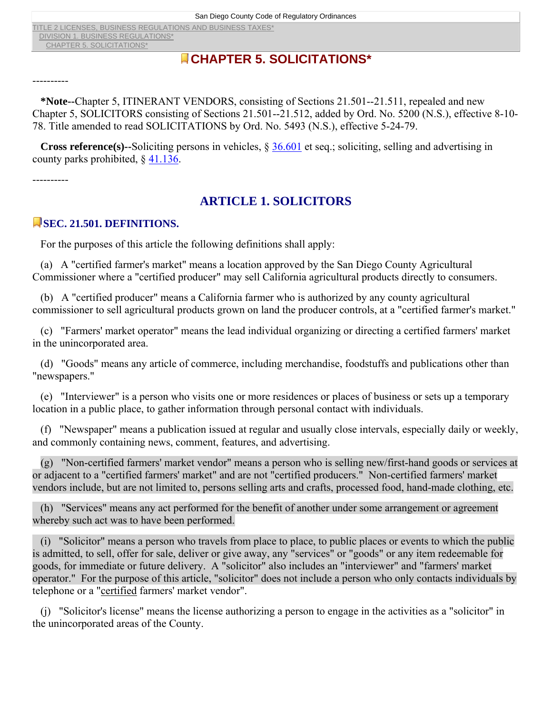TITLE 2 LICENSES, BUSINESS REGULATIONS AND BUSINESS TAXES\* DIVISION 1. BUSINESS REGULATIONS\* CHAPTER 5. SOLICITATIONS\*

# **CHAPTER 5. SOLICITATIONS\***

----------

 **\*Note--**Chapter 5, ITINERANT VENDORS, consisting of Sections 21.501--21.511, repealed and new Chapter 5, SOLICITORS consisting of Sections 21.501--21.512, added by Ord. No. 5200 (N.S.), effective 8-10- 78. Title amended to read SOLICITATIONS by Ord. No. 5493 (N.S.), effective 5-24-79.

 **Cross reference(s)--**Soliciting persons in vehicles, § 36.601 et seq.; soliciting, selling and advertising in county parks prohibited, § 41.136.

----------

# **ARTICLE 1. SOLICITORS**

#### **SEC. 21.501. DEFINITIONS.**

For the purposes of this article the following definitions shall apply:

 (a) A "certified farmer's market" means a location approved by the San Diego County Agricultural Commissioner where a "certified producer" may sell California agricultural products directly to consumers.

 (b) A "certified producer" means a California farmer who is authorized by any county agricultural commissioner to sell agricultural products grown on land the producer controls, at a "certified farmer's market."

 (c) "Farmers' market operator" means the lead individual organizing or directing a certified farmers' market in the unincorporated area.

 (d) "Goods" means any article of commerce, including merchandise, foodstuffs and publications other than "newspapers."

 (e) "Interviewer" is a person who visits one or more residences or places of business or sets up a temporary location in a public place, to gather information through personal contact with individuals.

 (f) "Newspaper" means a publication issued at regular and usually close intervals, especially daily or weekly, and commonly containing news, comment, features, and advertising.

 (g) "Non-certified farmers' market vendor" means a person who is selling new/first-hand goods or services at or adjacent to a "certified farmers' market" and are not "certified producers." Non-certified farmers' market vendors include, but are not limited to, persons selling arts and crafts, processed food, hand-made clothing, etc.

 (h) "Services" means any act performed for the benefit of another under some arrangement or agreement whereby such act was to have been performed.

 (i) "Solicitor" means a person who travels from place to place, to public places or events to which the public is admitted, to sell, offer for sale, deliver or give away, any "services" or "goods" or any item redeemable for goods, for immediate or future delivery. A "solicitor" also includes an "interviewer" and "farmers' market operator." For the purpose of this article, "solicitor" does not include a person who only contacts individuals by telephone or a "certified farmers' market vendor".

 (j) "Solicitor's license" means the license authorizing a person to engage in the activities as a "solicitor" in the unincorporated areas of the County.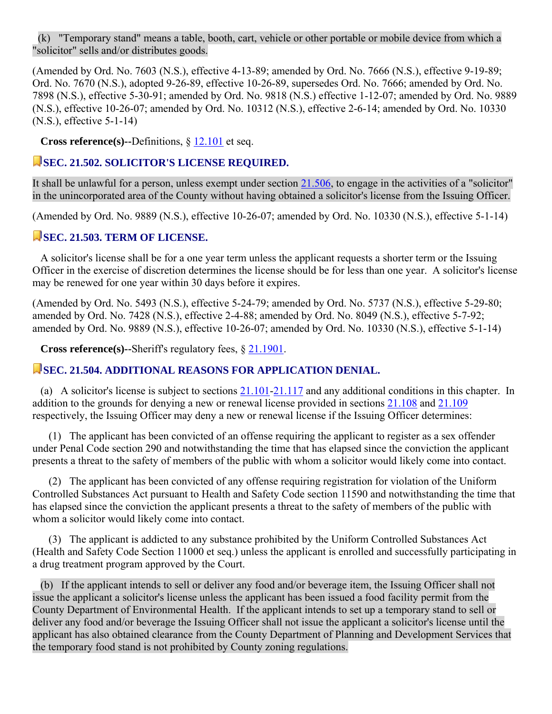(k) "Temporary stand" means a table, booth, cart, vehicle or other portable or mobile device from which a "solicitor" sells and/or distributes goods.

(Amended by Ord. No. 7603 (N.S.), effective 4-13-89; amended by Ord. No. 7666 (N.S.), effective 9-19-89; Ord. No. 7670 (N.S.), adopted 9-26-89, effective 10-26-89, supersedes Ord. No. 7666; amended by Ord. No. 7898 (N.S.), effective 5-30-91; amended by Ord. No. 9818 (N.S.) effective 1-12-07; amended by Ord. No. 9889 (N.S.), effective 10-26-07; amended by Ord. No. 10312 (N.S.), effective 2-6-14; amended by Ord. No. 10330 (N.S.), effective 5-1-14)

**Cross reference(s)--**Definitions, § 12.101 et seq.

#### **SEC. 21.502. SOLICITOR'S LICENSE REQUIRED.**

It shall be unlawful for a person, unless exempt under section 21.506, to engage in the activities of a "solicitor" in the unincorporated area of the County without having obtained a solicitor's license from the Issuing Officer.

(Amended by Ord. No. 9889 (N.S.), effective 10-26-07; amended by Ord. No. 10330 (N.S.), effective 5-1-14)

#### **SEC. 21.503. TERM OF LICENSE.**

 A solicitor's license shall be for a one year term unless the applicant requests a shorter term or the Issuing Officer in the exercise of discretion determines the license should be for less than one year. A solicitor's license may be renewed for one year within 30 days before it expires.

(Amended by Ord. No. 5493 (N.S.), effective 5-24-79; amended by Ord. No. 5737 (N.S.), effective 5-29-80; amended by Ord. No. 7428 (N.S.), effective 2-4-88; amended by Ord. No. 8049 (N.S.), effective 5-7-92; amended by Ord. No. 9889 (N.S.), effective 10-26-07; amended by Ord. No. 10330 (N.S.), effective 5-1-14)

**Cross reference(s)--**Sheriff's regulatory fees, § 21.1901.

#### **SEC. 21.504. ADDITIONAL REASONS FOR APPLICATION DENIAL.**

(a) A solicitor's license is subject to sections  $21.101-21.117$  and any additional conditions in this chapter. In addition to the grounds for denying a new or renewal license provided in sections 21.108 and 21.109 respectively, the Issuing Officer may deny a new or renewal license if the Issuing Officer determines:

 (1) The applicant has been convicted of an offense requiring the applicant to register as a sex offender under Penal Code section 290 and notwithstanding the time that has elapsed since the conviction the applicant presents a threat to the safety of members of the public with whom a solicitor would likely come into contact.

 (2) The applicant has been convicted of any offense requiring registration for violation of the Uniform Controlled Substances Act pursuant to Health and Safety Code section 11590 and notwithstanding the time that has elapsed since the conviction the applicant presents a threat to the safety of members of the public with whom a solicitor would likely come into contact.

 (3) The applicant is addicted to any substance prohibited by the Uniform Controlled Substances Act (Health and Safety Code Section 11000 et seq.) unless the applicant is enrolled and successfully participating in a drug treatment program approved by the Court.

 (b) If the applicant intends to sell or deliver any food and/or beverage item, the Issuing Officer shall not issue the applicant a solicitor's license unless the applicant has been issued a food facility permit from the County Department of Environmental Health. If the applicant intends to set up a temporary stand to sell or deliver any food and/or beverage the Issuing Officer shall not issue the applicant a solicitor's license until the applicant has also obtained clearance from the County Department of Planning and Development Services that the temporary food stand is not prohibited by County zoning regulations.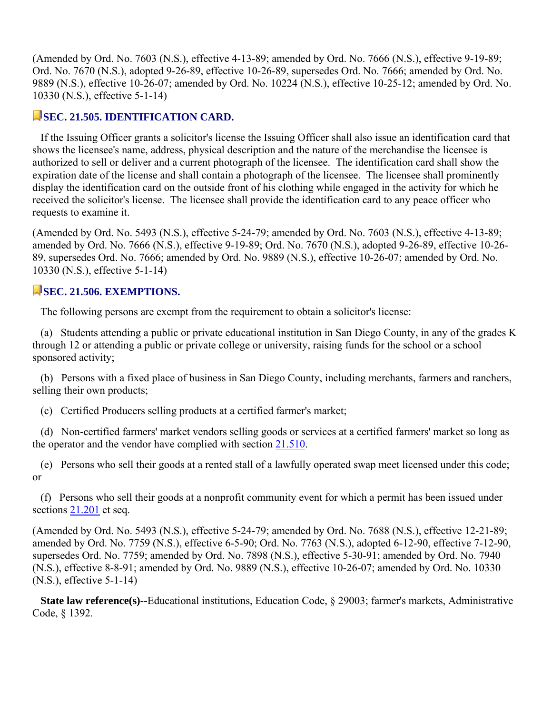(Amended by Ord. No. 7603 (N.S.), effective 4-13-89; amended by Ord. No. 7666 (N.S.), effective 9-19-89; Ord. No. 7670 (N.S.), adopted 9-26-89, effective 10-26-89, supersedes Ord. No. 7666; amended by Ord. No. 9889 (N.S.), effective 10-26-07; amended by Ord. No. 10224 (N.S.), effective 10-25-12; amended by Ord. No. 10330 (N.S.), effective 5-1-14)

#### **SEC. 21.505. IDENTIFICATION CARD.**

 If the Issuing Officer grants a solicitor's license the Issuing Officer shall also issue an identification card that shows the licensee's name, address, physical description and the nature of the merchandise the licensee is authorized to sell or deliver and a current photograph of the licensee. The identification card shall show the expiration date of the license and shall contain a photograph of the licensee. The licensee shall prominently display the identification card on the outside front of his clothing while engaged in the activity for which he received the solicitor's license. The licensee shall provide the identification card to any peace officer who requests to examine it.

(Amended by Ord. No. 5493 (N.S.), effective 5-24-79; amended by Ord. No. 7603 (N.S.), effective 4-13-89; amended by Ord. No. 7666 (N.S.), effective 9-19-89; Ord. No. 7670 (N.S.), adopted 9-26-89, effective 10-26- 89, supersedes Ord. No. 7666; amended by Ord. No. 9889 (N.S.), effective 10-26-07; amended by Ord. No. 10330 (N.S.), effective 5-1-14)

# **SEC. 21.506. EXEMPTIONS.**

The following persons are exempt from the requirement to obtain a solicitor's license:

 (a) Students attending a public or private educational institution in San Diego County, in any of the grades K through 12 or attending a public or private college or university, raising funds for the school or a school sponsored activity;

 (b) Persons with a fixed place of business in San Diego County, including merchants, farmers and ranchers, selling their own products;

(c) Certified Producers selling products at a certified farmer's market;

 (d) Non-certified farmers' market vendors selling goods or services at a certified farmers' market so long as the operator and the vendor have complied with section 21.510.

 (e) Persons who sell their goods at a rented stall of a lawfully operated swap meet licensed under this code; or

 (f) Persons who sell their goods at a nonprofit community event for which a permit has been issued under sections  $21.201$  et seq.

(Amended by Ord. No. 5493 (N.S.), effective 5-24-79; amended by Ord. No. 7688 (N.S.), effective 12-21-89; amended by Ord. No. 7759 (N.S.), effective 6-5-90; Ord. No. 7763 (N.S.), adopted 6-12-90, effective 7-12-90, supersedes Ord. No. 7759; amended by Ord. No. 7898 (N.S.), effective 5-30-91; amended by Ord. No. 7940 (N.S.), effective 8-8-91; amended by Ord. No. 9889 (N.S.), effective 10-26-07; amended by Ord. No. 10330 (N.S.), effective 5-1-14)

 **State law reference(s)--**Educational institutions, Education Code, § 29003; farmer's markets, Administrative Code, § 1392.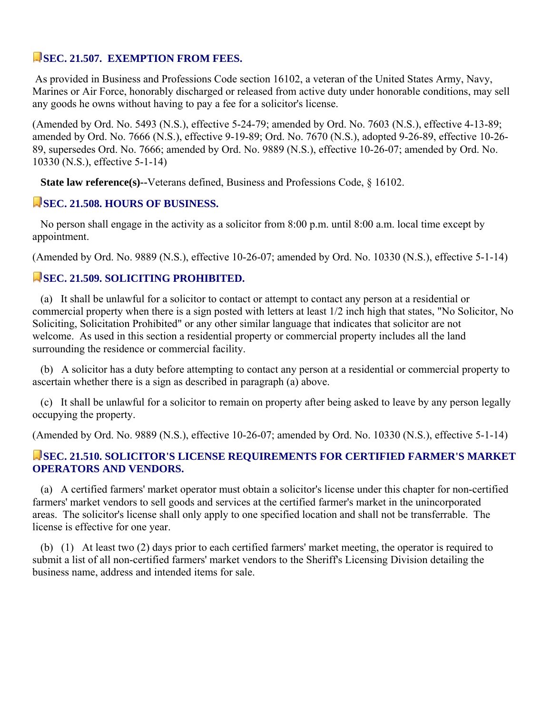# **SEC. 21.507. EXEMPTION FROM FEES.**

 As provided in Business and Professions Code section 16102, a veteran of the United States Army, Navy, Marines or Air Force, honorably discharged or released from active duty under honorable conditions, may sell any goods he owns without having to pay a fee for a solicitor's license.

(Amended by Ord. No. 5493 (N.S.), effective 5-24-79; amended by Ord. No. 7603 (N.S.), effective 4-13-89; amended by Ord. No. 7666 (N.S.), effective 9-19-89; Ord. No. 7670 (N.S.), adopted 9-26-89, effective 10-26- 89, supersedes Ord. No. 7666; amended by Ord. No. 9889 (N.S.), effective 10-26-07; amended by Ord. No. 10330 (N.S.), effective 5-1-14)

**State law reference(s)--**Veterans defined, Business and Professions Code, § 16102.

#### **SEC. 21.508. HOURS OF BUSINESS.**

 No person shall engage in the activity as a solicitor from 8:00 p.m. until 8:00 a.m. local time except by appointment.

(Amended by Ord. No. 9889 (N.S.), effective 10-26-07; amended by Ord. No. 10330 (N.S.), effective 5-1-14)

#### **SEC. 21.509. SOLICITING PROHIBITED.**

 (a) It shall be unlawful for a solicitor to contact or attempt to contact any person at a residential or commercial property when there is a sign posted with letters at least 1/2 inch high that states, "No Solicitor, No Soliciting, Solicitation Prohibited" or any other similar language that indicates that solicitor are not welcome. As used in this section a residential property or commercial property includes all the land surrounding the residence or commercial facility.

 (b) A solicitor has a duty before attempting to contact any person at a residential or commercial property to ascertain whether there is a sign as described in paragraph (a) above.

 (c) It shall be unlawful for a solicitor to remain on property after being asked to leave by any person legally occupying the property.

(Amended by Ord. No. 9889 (N.S.), effective 10-26-07; amended by Ord. No. 10330 (N.S.), effective 5-1-14)

#### **SEC. 21.510. SOLICITOR'S LICENSE REQUIREMENTS FOR CERTIFIED FARMER'S MARKET OPERATORS AND VENDORS.**

 (a) A certified farmers' market operator must obtain a solicitor's license under this chapter for non-certified farmers' market vendors to sell goods and services at the certified farmer's market in the unincorporated areas. The solicitor's license shall only apply to one specified location and shall not be transferrable. The license is effective for one year.

 (b) (1) At least two (2) days prior to each certified farmers' market meeting, the operator is required to submit a list of all non-certified farmers' market vendors to the Sheriff's Licensing Division detailing the business name, address and intended items for sale.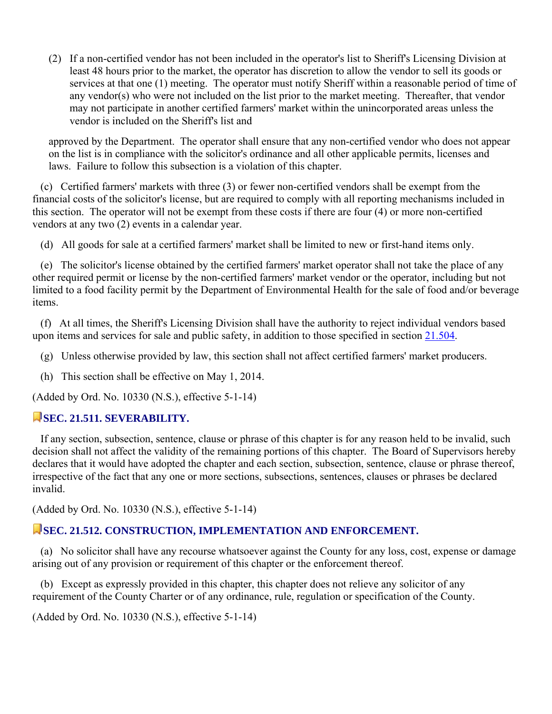(2) If a non-certified vendor has not been included in the operator's list to Sheriff's Licensing Division at least 48 hours prior to the market, the operator has discretion to allow the vendor to sell its goods or services at that one (1) meeting. The operator must notify Sheriff within a reasonable period of time of any vendor(s) who were not included on the list prior to the market meeting. Thereafter, that vendor may not participate in another certified farmers' market within the unincorporated areas unless the vendor is included on the Sheriff's list and

approved by the Department. The operator shall ensure that any non-certified vendor who does not appear on the list is in compliance with the solicitor's ordinance and all other applicable permits, licenses and laws. Failure to follow this subsection is a violation of this chapter.

 (c) Certified farmers' markets with three (3) or fewer non-certified vendors shall be exempt from the financial costs of the solicitor's license, but are required to comply with all reporting mechanisms included in this section. The operator will not be exempt from these costs if there are four (4) or more non-certified vendors at any two (2) events in a calendar year.

(d) All goods for sale at a certified farmers' market shall be limited to new or first-hand items only.

 (e) The solicitor's license obtained by the certified farmers' market operator shall not take the place of any other required permit or license by the non-certified farmers' market vendor or the operator, including but not limited to a food facility permit by the Department of Environmental Health for the sale of food and/or beverage items.

 (f) At all times, the Sheriff's Licensing Division shall have the authority to reject individual vendors based upon items and services for sale and public safety, in addition to those specified in section 21.504.

(g) Unless otherwise provided by law, this section shall not affect certified farmers' market producers.

(h) This section shall be effective on May 1, 2014.

(Added by Ord. No. 10330 (N.S.), effective 5-1-14)

# **SEC. 21.511. SEVERABILITY.**

 If any section, subsection, sentence, clause or phrase of this chapter is for any reason held to be invalid, such decision shall not affect the validity of the remaining portions of this chapter. The Board of Supervisors hereby declares that it would have adopted the chapter and each section, subsection, sentence, clause or phrase thereof, irrespective of the fact that any one or more sections, subsections, sentences, clauses or phrases be declared invalid.

(Added by Ord. No. 10330 (N.S.), effective 5-1-14)

# **SEC. 21.512. CONSTRUCTION, IMPLEMENTATION AND ENFORCEMENT.**

 (a) No solicitor shall have any recourse whatsoever against the County for any loss, cost, expense or damage arising out of any provision or requirement of this chapter or the enforcement thereof.

 (b) Except as expressly provided in this chapter, this chapter does not relieve any solicitor of any requirement of the County Charter or of any ordinance, rule, regulation or specification of the County.

(Added by Ord. No. 10330 (N.S.), effective 5-1-14)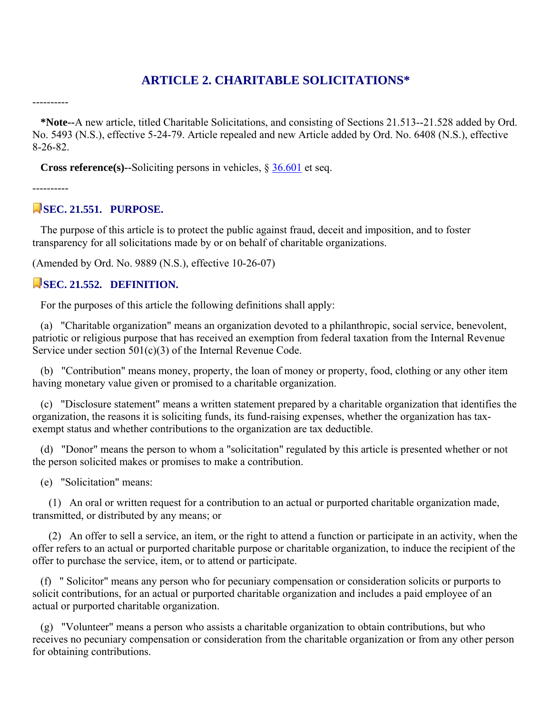# **ARTICLE 2. CHARITABLE SOLICITATIONS\***

 **\*Note--**A new article, titled Charitable Solicitations, and consisting of Sections 21.513--21.528 added by Ord. No. 5493 (N.S.), effective 5-24-79. Article repealed and new Article added by Ord. No. 6408 (N.S.), effective 8-26-82.

**Cross reference(s)--Soliciting persons in vehicles, § 36.601 et seq.** 

----------

----------

# **SEC. 21.551. PURPOSE.**

 The purpose of this article is to protect the public against fraud, deceit and imposition, and to foster transparency for all solicitations made by or on behalf of charitable organizations.

(Amended by Ord. No. 9889 (N.S.), effective 10-26-07)

#### SEC. 21.552. DEFINITION.

For the purposes of this article the following definitions shall apply:

 (a) "Charitable organization" means an organization devoted to a philanthropic, social service, benevolent, patriotic or religious purpose that has received an exemption from federal taxation from the Internal Revenue Service under section 501(c)(3) of the Internal Revenue Code.

 (b) "Contribution" means money, property, the loan of money or property, food, clothing or any other item having monetary value given or promised to a charitable organization.

 (c) "Disclosure statement" means a written statement prepared by a charitable organization that identifies the organization, the reasons it is soliciting funds, its fund-raising expenses, whether the organization has taxexempt status and whether contributions to the organization are tax deductible.

 (d) "Donor" means the person to whom a "solicitation" regulated by this article is presented whether or not the person solicited makes or promises to make a contribution.

(e) "Solicitation" means:

 (1) An oral or written request for a contribution to an actual or purported charitable organization made, transmitted, or distributed by any means; or

 (2) An offer to sell a service, an item, or the right to attend a function or participate in an activity, when the offer refers to an actual or purported charitable purpose or charitable organization, to induce the recipient of the offer to purchase the service, item, or to attend or participate.

 (f) " Solicitor" means any person who for pecuniary compensation or consideration solicits or purports to solicit contributions, for an actual or purported charitable organization and includes a paid employee of an actual or purported charitable organization.

 (g) "Volunteer" means a person who assists a charitable organization to obtain contributions, but who receives no pecuniary compensation or consideration from the charitable organization or from any other person for obtaining contributions.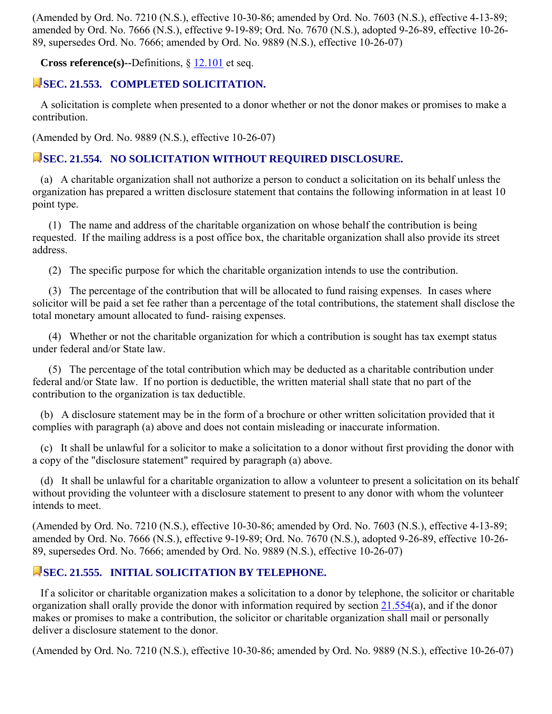(Amended by Ord. No. 7210 (N.S.), effective 10-30-86; amended by Ord. No. 7603 (N.S.), effective 4-13-89; amended by Ord. No. 7666 (N.S.), effective 9-19-89; Ord. No. 7670 (N.S.), adopted 9-26-89, effective 10-26- 89, supersedes Ord. No. 7666; amended by Ord. No. 9889 (N.S.), effective 10-26-07)

**Cross reference(s)--**Definitions, § 12.101 et seq.

#### **SEC. 21.553. COMPLETED SOLICITATION.**

 A solicitation is complete when presented to a donor whether or not the donor makes or promises to make a contribution.

(Amended by Ord. No. 9889 (N.S.), effective 10-26-07)

#### **SEC. 21.554. NO SOLICITATION WITHOUT REQUIRED DISCLOSURE.**

 (a) A charitable organization shall not authorize a person to conduct a solicitation on its behalf unless the organization has prepared a written disclosure statement that contains the following information in at least 10 point type.

 (1) The name and address of the charitable organization on whose behalf the contribution is being requested. If the mailing address is a post office box, the charitable organization shall also provide its street address.

(2) The specific purpose for which the charitable organization intends to use the contribution.

 (3) The percentage of the contribution that will be allocated to fund raising expenses. In cases where solicitor will be paid a set fee rather than a percentage of the total contributions, the statement shall disclose the total monetary amount allocated to fund- raising expenses.

 (4) Whether or not the charitable organization for which a contribution is sought has tax exempt status under federal and/or State law.

 (5) The percentage of the total contribution which may be deducted as a charitable contribution under federal and/or State law. If no portion is deductible, the written material shall state that no part of the contribution to the organization is tax deductible.

 (b) A disclosure statement may be in the form of a brochure or other written solicitation provided that it complies with paragraph (a) above and does not contain misleading or inaccurate information.

 (c) It shall be unlawful for a solicitor to make a solicitation to a donor without first providing the donor with a copy of the "disclosure statement" required by paragraph (a) above.

 (d) It shall be unlawful for a charitable organization to allow a volunteer to present a solicitation on its behalf without providing the volunteer with a disclosure statement to present to any donor with whom the volunteer intends to meet.

(Amended by Ord. No. 7210 (N.S.), effective 10-30-86; amended by Ord. No. 7603 (N.S.), effective 4-13-89; amended by Ord. No. 7666 (N.S.), effective 9-19-89; Ord. No. 7670 (N.S.), adopted 9-26-89, effective 10-26- 89, supersedes Ord. No. 7666; amended by Ord. No. 9889 (N.S.), effective 10-26-07)

#### **SEC. 21.555. INITIAL SOLICITATION BY TELEPHONE.**

 If a solicitor or charitable organization makes a solicitation to a donor by telephone, the solicitor or charitable organization shall orally provide the donor with information required by section 21.554(a), and if the donor makes or promises to make a contribution, the solicitor or charitable organization shall mail or personally deliver a disclosure statement to the donor.

(Amended by Ord. No. 7210 (N.S.), effective 10-30-86; amended by Ord. No. 9889 (N.S.), effective 10-26-07)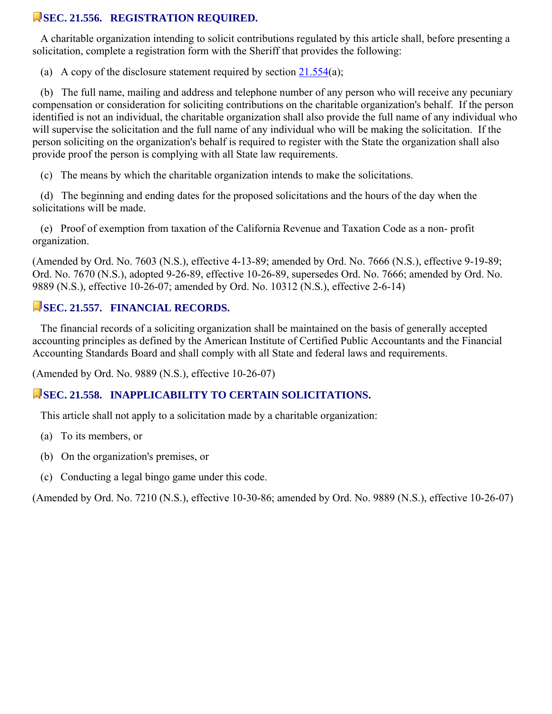#### **SEC. 21.556. REGISTRATION REQUIRED.**

 A charitable organization intending to solicit contributions regulated by this article shall, before presenting a solicitation, complete a registration form with the Sheriff that provides the following:

(a) A copy of the disclosure statement required by section  $21.554(a)$ ;

 (b) The full name, mailing and address and telephone number of any person who will receive any pecuniary compensation or consideration for soliciting contributions on the charitable organization's behalf. If the person identified is not an individual, the charitable organization shall also provide the full name of any individual who will supervise the solicitation and the full name of any individual who will be making the solicitation. If the person soliciting on the organization's behalf is required to register with the State the organization shall also provide proof the person is complying with all State law requirements.

(c) The means by which the charitable organization intends to make the solicitations.

 (d) The beginning and ending dates for the proposed solicitations and the hours of the day when the solicitations will be made.

 (e) Proof of exemption from taxation of the California Revenue and Taxation Code as a non- profit organization.

(Amended by Ord. No. 7603 (N.S.), effective 4-13-89; amended by Ord. No. 7666 (N.S.), effective 9-19-89; Ord. No. 7670 (N.S.), adopted 9-26-89, effective 10-26-89, supersedes Ord. No. 7666; amended by Ord. No. 9889 (N.S.), effective 10-26-07; amended by Ord. No. 10312 (N.S.), effective 2-6-14)

#### **SEC. 21.557. FINANCIAL RECORDS.**

 The financial records of a soliciting organization shall be maintained on the basis of generally accepted accounting principles as defined by the American Institute of Certified Public Accountants and the Financial Accounting Standards Board and shall comply with all State and federal laws and requirements.

(Amended by Ord. No. 9889 (N.S.), effective 10-26-07)

# **SEC. 21.558. INAPPLICABILITY TO CERTAIN SOLICITATIONS.**

This article shall not apply to a solicitation made by a charitable organization:

- (a) To its members, or
- (b) On the organization's premises, or
- (c) Conducting a legal bingo game under this code.

(Amended by Ord. No. 7210 (N.S.), effective 10-30-86; amended by Ord. No. 9889 (N.S.), effective 10-26-07)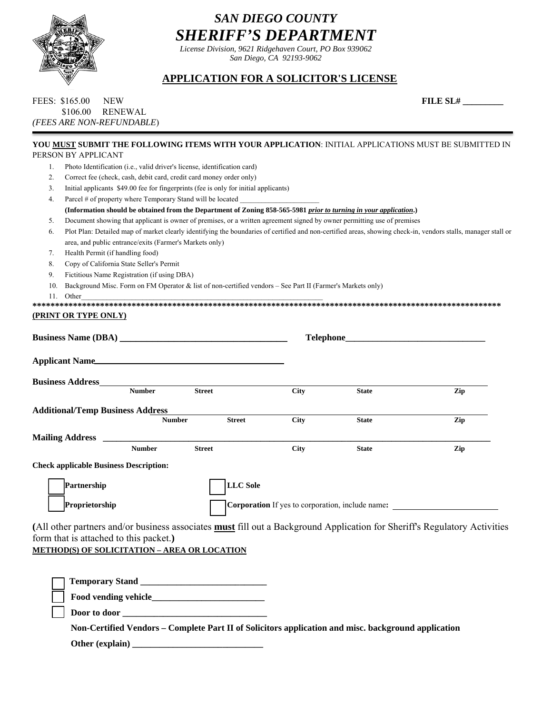

# *SAN DIEGO COUNTY SHERIFF'S DEPARTMENT*

*License Division, 9621 Ridgehaven Court, PO Box 939062 San Diego, CA 92193-9062* 

#### *William D. Gore, Sheriff* **APPLICATION FOR A SOLICITOR'S LICENSE**

| FEES: \$165.00            | NEW              | <b>FILE SL#</b> |
|---------------------------|------------------|-----------------|
|                           | \$106.00 RENEWAL |                 |
| (FEES ARE NON-REFUNDABLE) |                  |                 |

| 'ILE SL# |  |
|----------|--|
|          |  |

|     | YOU MUST SUBMIT THE FOLLOWING ITEMS WITH YOUR APPLICATION: INITIAL APPLICATIONS MUST BE SUBMITTED IN<br>PERSON BY APPLICANT                                   |                                |             |                                                  |     |
|-----|---------------------------------------------------------------------------------------------------------------------------------------------------------------|--------------------------------|-------------|--------------------------------------------------|-----|
| 1.  | Photo Identification (i.e., valid driver's license, identification card)                                                                                      |                                |             |                                                  |     |
| 2.  | Correct fee (check, cash, debit card, credit card money order only)                                                                                           |                                |             |                                                  |     |
| 3.  | Initial applicants \$49.00 fee for fingerprints (fee is only for initial applicants)                                                                          |                                |             |                                                  |     |
| 4.  | Parcel # of property where Temporary Stand will be located _____________________                                                                              |                                |             |                                                  |     |
|     | (Information should be obtained from the Department of Zoning 858-565-5981 prior to turning in your application.)                                             |                                |             |                                                  |     |
| 5.  | Document showing that applicant is owner of premises, or a written agreement signed by owner permitting use of premises                                       |                                |             |                                                  |     |
| 6.  | Plot Plan: Detailed map of market clearly identifying the boundaries of certified and non-certified areas, showing check-in, vendors stalls, manager stall or |                                |             |                                                  |     |
|     | area, and public entrance/exits (Farmer's Markets only)                                                                                                       |                                |             |                                                  |     |
| 7.  | Health Permit (if handling food)                                                                                                                              |                                |             |                                                  |     |
| 8.  | Copy of California State Seller's Permit                                                                                                                      |                                |             |                                                  |     |
| 9.  | Fictitious Name Registration (if using DBA)                                                                                                                   |                                |             |                                                  |     |
| 10. | Background Misc. Form on FM Operator & list of non-certified vendors - See Part II (Farmer's Markets only)                                                    |                                |             |                                                  |     |
| 11. | Other                                                                                                                                                         |                                |             |                                                  |     |
|     |                                                                                                                                                               |                                |             |                                                  |     |
|     | <b>(PRINT OR TYPE ONLY)</b>                                                                                                                                   |                                |             |                                                  |     |
|     |                                                                                                                                                               |                                |             |                                                  |     |
|     | Applicant Name                                                                                                                                                |                                |             |                                                  |     |
|     |                                                                                                                                                               |                                |             |                                                  |     |
|     | <b>Business Address_____</b><br><b>Number</b>                                                                                                                 |                                |             |                                                  |     |
|     |                                                                                                                                                               | <b>Street</b>                  | City        | <b>State</b>                                     | Zip |
|     | <b>Additional/Temp Business Address</b>                                                                                                                       |                                |             |                                                  |     |
|     |                                                                                                                                                               | <b>Number</b><br><b>Street</b> | <b>City</b> | <b>State</b>                                     | Zip |
|     |                                                                                                                                                               |                                |             |                                                  |     |
|     |                                                                                                                                                               |                                |             |                                                  |     |
|     | <b>Number</b>                                                                                                                                                 | <b>Street</b>                  | <b>City</b> | <b>State</b>                                     | Zip |
|     | <b>Check applicable Business Description:</b>                                                                                                                 |                                |             |                                                  |     |
|     | Partnership                                                                                                                                                   | <b>LLC</b> Sole                |             |                                                  |     |
|     | Proprietorship                                                                                                                                                |                                |             | Corporation If yes to corporation, include name: |     |
|     | (All other partners and/or business associates <b>must</b> fill out a Background Application for Sheriff's Regulatory Activities                              |                                |             |                                                  |     |
|     | form that is attached to this packet.)                                                                                                                        |                                |             |                                                  |     |
|     |                                                                                                                                                               |                                |             |                                                  |     |
|     | <b>METHOD(S) OF SOLICITATION - AREA OR LOCATION</b>                                                                                                           |                                |             |                                                  |     |
|     |                                                                                                                                                               |                                |             |                                                  |     |
|     |                                                                                                                                                               |                                |             |                                                  |     |
|     |                                                                                                                                                               |                                |             |                                                  |     |
|     |                                                                                                                                                               |                                |             |                                                  |     |
|     |                                                                                                                                                               |                                |             |                                                  |     |

 **Non-Certified Vendors – Complete Part II of Solicitors application and misc. background application** 

 **Other (explain) \_\_\_\_\_\_\_\_\_\_\_\_\_\_\_\_\_\_\_\_\_\_\_\_\_\_\_\_\_**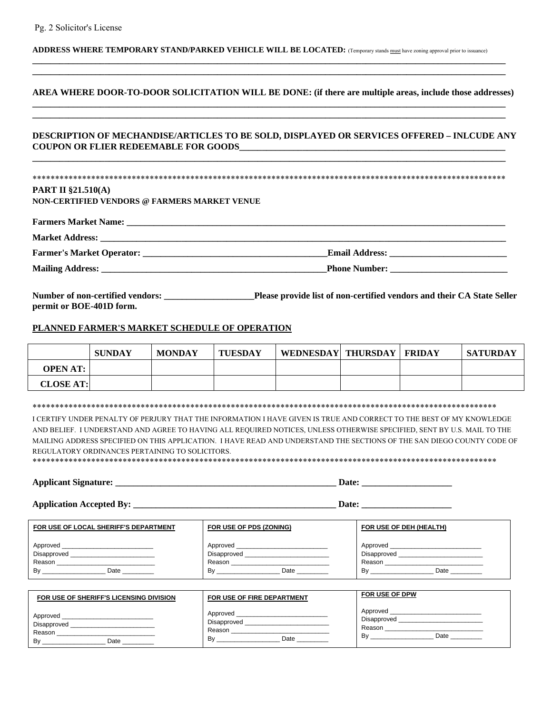#### **ADDRESS WHERE TEMPORARY STAND/PARKED VEHICLE WILL BE LOCATED:** (Temporary stands must have zoning approval prior to issuance)

#### **AREA WHERE DOOR-TO-DOOR SOLICITATION WILL BE DONE: (if there are multiple areas, include those addresses) \_\_\_\_\_\_\_\_\_\_\_\_\_\_\_\_\_\_\_\_\_\_\_\_\_\_\_\_\_\_\_\_\_\_\_\_\_\_\_\_\_\_\_\_\_\_\_\_\_\_\_\_\_\_\_\_\_\_\_\_\_\_\_\_\_\_\_\_\_\_\_\_\_\_\_\_\_\_\_\_\_\_\_\_\_\_\_\_\_\_\_\_\_\_\_\_\_\_\_\_\_\_\_\_\_**

**\_\_\_\_\_\_\_\_\_\_\_\_\_\_\_\_\_\_\_\_\_\_\_\_\_\_\_\_\_\_\_\_\_\_\_\_\_\_\_\_\_\_\_\_\_\_\_\_\_\_\_\_\_\_\_\_\_\_\_\_\_\_\_\_\_\_\_\_\_\_\_\_\_\_\_\_\_\_\_\_\_\_\_\_\_\_\_\_\_\_\_\_\_\_\_\_\_\_\_\_\_\_\_\_\_** 

**\_\_\_\_\_\_\_\_\_\_\_\_\_\_\_\_\_\_\_\_\_\_\_\_\_\_\_\_\_\_\_\_\_\_\_\_\_\_\_\_\_\_\_\_\_\_\_\_\_\_\_\_\_\_\_\_\_\_\_\_\_\_\_\_\_\_\_\_\_\_\_\_\_\_\_\_\_\_\_\_\_\_\_\_\_\_\_\_\_\_\_\_\_\_\_\_\_\_\_\_\_\_\_\_\_ \_\_\_\_\_\_\_\_\_\_\_\_\_\_\_\_\_\_\_\_\_\_\_\_\_\_\_\_\_\_\_\_\_\_\_\_\_\_\_\_\_\_\_\_\_\_\_\_\_\_\_\_\_\_\_\_\_\_\_\_\_\_\_\_\_\_\_\_\_\_\_\_\_\_\_\_\_\_\_\_\_\_\_\_\_\_\_\_\_\_\_\_\_\_\_\_\_\_\_\_\_\_\_\_\_** 

#### **DESCRIPTION OF MECHANDISE/ARTICLES TO BE SOLD, DISPLAYED OR SERVICES OFFERED – INLCUDE ANY COUPON OR FLIER REDEEMABLE FOR GOODS**

**\_\_\_\_\_\_\_\_\_\_\_\_\_\_\_\_\_\_\_\_\_\_\_\_\_\_\_\_\_\_\_\_\_\_\_\_\_\_\_\_\_\_\_\_\_\_\_\_\_\_\_\_\_\_\_\_\_\_\_\_\_\_\_\_\_\_\_\_\_\_\_\_\_\_\_\_\_\_\_\_\_\_\_\_\_\_\_\_\_\_\_\_\_\_\_\_\_\_\_\_\_\_\_\_\_** 

#### \*\*\*\*\*\*\*\*\*\*\*\*\*\*\*\*\*\*\*\*\*\*\*\*\*\*\*\*\*\*\*\*\*\*\*\*\*\*\*\*\*\*\*\*\*\*\*\*\*\*\*\*\*\*\*\*\*\*\*\*\*\*\*\*\*\*\*\*\*\*\*\*\*\*\*\*\*\*\*\*\*\*\*\*\*\*\*\*\*\*\*\*\*\*\*\*\*\*\*\*\*\*\*\*\* **PART II §21.510(A)**

**NON-CERTIFIED VENDORS @ FARMERS MARKET VENUE** 

| <b>Farmers Market Name:</b> |                       |
|-----------------------------|-----------------------|
| <b>Market Address:</b>      |                       |
|                             | <b>Email Address:</b> |
| <b>Mailing Address:</b>     | <b>Phone Number:</b>  |

**Number of non-certified vendors: \_\_\_\_\_\_\_\_\_\_\_\_\_\_\_\_\_\_\_\_Please provide list of non-certified vendors and their CA State Seller permit or BOE-401D form.** 

#### **PLANNED FARMER'S MARKET SCHEDULE OF OPERATION**

|                  | <b>SUNDAY</b> | <b>MONDAY</b> | <b>TUESDAY</b> | WEDNESDAY   THURSDAY | FRIDAY | SATURDAY |
|------------------|---------------|---------------|----------------|----------------------|--------|----------|
| <b>OPEN AT:</b>  |               |               |                |                      |        |          |
| <b>CLOSE AT:</b> |               |               |                |                      |        |          |

#### \*\*\*\*\*\*\*\*\*\*\*\*\*\*\*\*\*\*\*\*\*\*\*\*\*\*\*\*\*\*\*\*\*\*\*\*\*\*\*\*\*\*\*\*\*\*\*\*\*\*\*\*\*\*\*\*\*\*\*\*\*\*\*\*\*\*\*\*\*\*\*\*\*\*\*\*\*\*\*\*\*\*\*\*\*\*\*\*\*\*\*\*\*\*\*\*\*\*\*\*\*\*\*

I CERTIFY UNDER PENALTY OF PERJURY THAT THE INFORMATION I HAVE GIVEN IS TRUE AND CORRECT TO THE BEST OF MY KNOWLEDGE AND BELIEF. I UNDERSTAND AND AGREE TO HAVING ALL REQUIRED NOTICES, UNLESS OTHERWISE SPECIFIED, SENT BY U.S. MAIL TO THE MAILING ADDRESS SPECIFIED ON THIS APPLICATION. I HAVE READ AND UNDERSTAND THE SECTIONS OF THE SAN DIEGO COUNTY CODE OF REGULATORY ORDINANCES PERTAINING TO SOLICITORS. \*\*\*\*\*\*\*\*\*\*\*\*\*\*\*\*\*\*\*\*\*\*\*\*\*\*\*\*\*\*\*\*\*\*\*\*\*\*\*\*\*\*\*\*\*\*\*\*\*\*\*\*\*\*\*\*\*\*\*\*\*\*\*\*\*\*\*\*\*\*\*\*\*\*\*\*\*\*\*\*\*\*\*\*\*\*\*\*\*\*\*\*\*\*\*\*\*\*\*\*\*\*\*

| $-1$ |                      |
|------|----------------------|
| - 12 | -                    |
| .    | .                    |
| ---- | ____________________ |

**Application Accepted By: \_\_\_\_\_\_\_\_\_\_\_\_\_\_\_\_\_\_\_\_\_\_\_\_\_\_\_\_\_\_\_\_\_\_\_\_\_\_\_\_\_\_\_\_\_ Date: \_\_\_\_\_\_\_\_\_\_\_\_\_\_\_\_\_\_\_\_** 

| FOR USE OF LOCAL SHERIFF'S DEPARTMENT | FOR USE OF PDS (ZONING) | FOR USE OF DEH (HEALTH) |
|---------------------------------------|-------------------------|-------------------------|
| Approved                              |                         |                         |
| <b>Disapproved</b>                    | <b>Disapproved</b>      | Disapproved             |
| Reason                                | Reason                  | Reason                  |
| By                                    | Date                    | Bv                      |
| Date                                  | Bv                      | Date                    |

| FOR USE OF SHERIFF'S LICENSING DIVISION         | FOR USE OF FIRE DEPARTMENT                      | FOR USE OF DPW                                  |
|-------------------------------------------------|-------------------------------------------------|-------------------------------------------------|
| Approved<br>Disapproved<br>Reason<br>By<br>Date | Approved<br>Disapproved<br>Reason<br>Bv<br>Date | Approved<br>Disapproved<br>Reason<br>Bv<br>Date |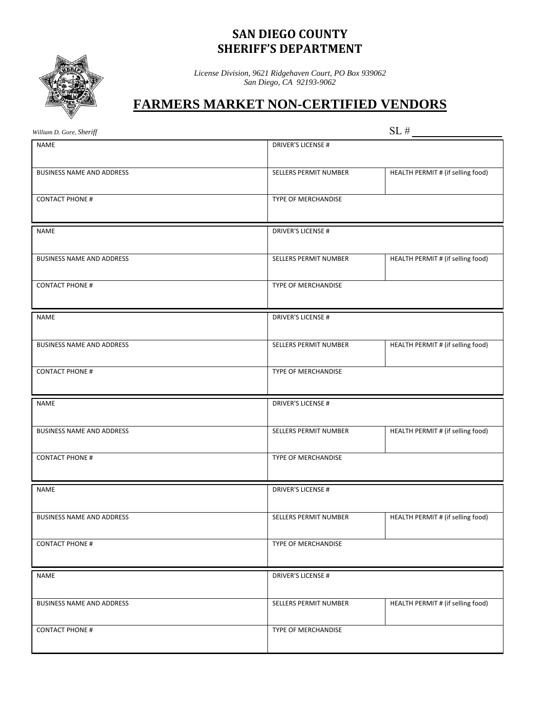# **SAN DIEGO COUNTY SHERIFF'S DEPARTMENT**



*License Division, 9621 Ridgehaven Court, PO Box 939062 San Diego, CA 92193-9062* 

# **FARMERS MARKET NON-CERTIFIED VENDORS**

*William D. Gore, Sheriff* SL  $#$ 

| <b>NAME</b>                      | <b>DRIVER'S LICENSE#</b>  |                                   |
|----------------------------------|---------------------------|-----------------------------------|
| <b>BUSINESS NAME AND ADDRESS</b> | SELLERS PERMIT NUMBER     | HEALTH PERMIT # (if selling food) |
| <b>CONTACT PHONE #</b>           | TYPE OF MERCHANDISE       |                                   |
| <b>NAME</b>                      | <b>DRIVER'S LICENSE#</b>  |                                   |
|                                  |                           |                                   |
| BUSINESS NAME AND ADDRESS        | SELLERS PERMIT NUMBER     | HEALTH PERMIT # (if selling food) |
| <b>CONTACT PHONE #</b>           | TYPE OF MERCHANDISE       |                                   |
| <b>NAME</b>                      | <b>DRIVER'S LICENSE#</b>  |                                   |
| <b>BUSINESS NAME AND ADDRESS</b> | SELLERS PERMIT NUMBER     | HEALTH PERMIT # (if selling food) |
| <b>CONTACT PHONE #</b>           | TYPE OF MERCHANDISE       |                                   |
|                                  |                           |                                   |
|                                  |                           |                                   |
| <b>NAME</b>                      | <b>DRIVER'S LICENSE #</b> |                                   |
| <b>BUSINESS NAME AND ADDRESS</b> | SELLERS PERMIT NUMBER     | HEALTH PERMIT # (if selling food) |
| <b>CONTACT PHONE #</b>           | TYPE OF MERCHANDISE       |                                   |
| <b>NAME</b>                      | DRIVER'S LICENSE #        |                                   |
| BUSINESS NAME AND ADDRESS        | SELLERS PERMIT NUMBER     | HEALTH PERMIT # (if selling food) |
| <b>CONTACT PHONE #</b>           | TYPE OF MERCHANDISE       |                                   |
|                                  |                           |                                   |
| <b>NAME</b>                      | <b>DRIVER'S LICENSE#</b>  |                                   |
| BUSINESS NAME AND ADDRESS        | SELLERS PERMIT NUMBER     | HEALTH PERMIT # (if selling food) |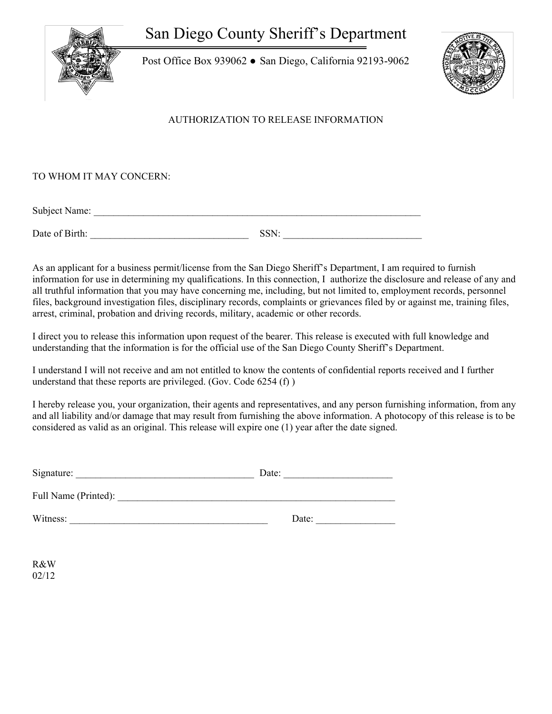San Diego County Sheriff's Department



Post Office Box 939062 ● San Diego, California 92193-9062



#### AUTHORIZATION TO RELEASE INFORMATION

#### TO WHOM IT MAY CONCERN:

Subject Name: \_\_\_\_\_\_\_\_\_\_\_\_\_\_\_\_\_\_\_\_\_\_\_\_\_\_\_\_\_\_\_\_\_\_\_\_\_\_\_\_\_\_\_\_\_\_\_\_\_\_\_\_\_\_\_\_\_\_\_\_\_\_\_\_\_\_

Date of Birth: SSN:

As an applicant for a business permit/license from the San Diego Sheriff's Department, I am required to furnish information for use in determining my qualifications. In this connection, I authorize the disclosure and release of any and all truthful information that you may have concerning me, including, but not limited to, employment records, personnel files, background investigation files, disciplinary records, complaints or grievances filed by or against me, training files, arrest, criminal, probation and driving records, military, academic or other records.

I direct you to release this information upon request of the bearer. This release is executed with full knowledge and understanding that the information is for the official use of the San Diego County Sheriff's Department.

I understand I will not receive and am not entitled to know the contents of confidential reports received and I further understand that these reports are privileged. (Gov. Code 6254 (f) )

I hereby release you, your organization, their agents and representatives, and any person furnishing information, from any and all liability and/or damage that may result from furnishing the above information. A photocopy of this release is to be considered as valid as an original. This release will expire one (1) year after the date signed.

| Signature:           | Date: |
|----------------------|-------|
| Full Name (Printed): |       |
| Witness:             | Date: |

R&W 02/12